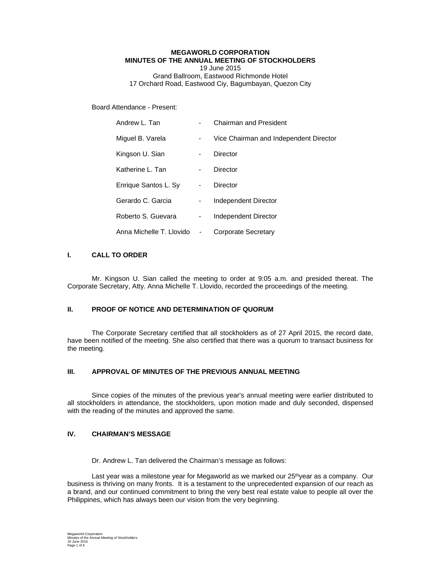#### **MEGAWORLD CORPORATION MINUTES OF THE ANNUAL MEETING OF STOCKHOLDERS**  19 June 2015 Grand Ballroom, Eastwood Richmonde Hotel 17 Orchard Road, Eastwood Ciy, Bagumbayan, Quezon City

Board Attendance - Present:

| Andrew L. Tan            |                          | <b>Chairman and President</b>          |
|--------------------------|--------------------------|----------------------------------------|
| Miguel B. Varela         | -                        | Vice Chairman and Independent Director |
| Kingson U. Sian          | $\blacksquare$           | Director                               |
| Katherine L. Tan         | $\blacksquare$           | Director                               |
| Enrique Santos L. Sy     | $\overline{\phantom{a}}$ | Director                               |
| Gerardo C. Garcia        | -                        | Independent Director                   |
| Roberto S. Guevara       | -                        | Independent Director                   |
| Anna Michelle T. Llovido | -                        | Corporate Secretary                    |

### **I. CALL TO ORDER**

 Mr. Kingson U. Sian called the meeting to order at 9:05 a.m. and presided thereat. The Corporate Secretary, Atty. Anna Michelle T. Llovido, recorded the proceedings of the meeting.

## **II. PROOF OF NOTICE AND DETERMINATION OF QUORUM**

The Corporate Secretary certified that all stockholders as of 27 April 2015, the record date, have been notified of the meeting. She also certified that there was a quorum to transact business for the meeting.

## **III. APPROVAL OF MINUTES OF THE PREVIOUS ANNUAL MEETING**

Since copies of the minutes of the previous year's annual meeting were earlier distributed to all stockholders in attendance, the stockholders, upon motion made and duly seconded, dispensed with the reading of the minutes and approved the same.

## **IV. CHAIRMAN'S MESSAGE**

Dr. Andrew L. Tan delivered the Chairman's message as follows:

Last year was a milestone year for Megaworld as we marked our 25thyear as a company. Our business is thriving on many fronts. It is a testament to the unprecedented expansion of our reach as a brand, and our continued commitment to bring the very best real estate value to people all over the Philippines, which has always been our vision from the very beginning.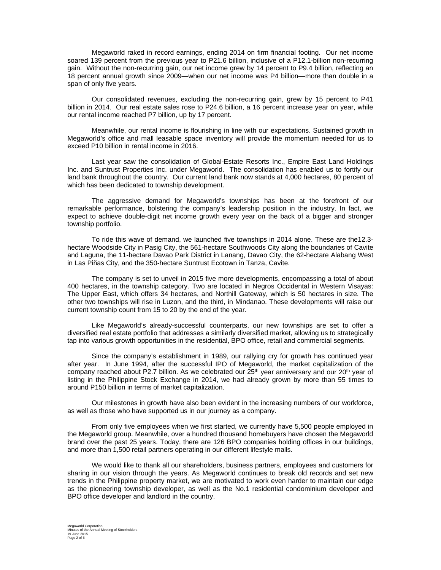Megaworld raked in record earnings, ending 2014 on firm financial footing. Our net income soared 139 percent from the previous year to P21.6 billion, inclusive of a P12.1-billion non-recurring gain. Without the non-recurring gain, our net income grew by 14 percent to P9.4 billion, reflecting an 18 percent annual growth since 2009—when our net income was P4 billion—more than double in a span of only five years.

Our consolidated revenues, excluding the non-recurring gain, grew by 15 percent to P41 billion in 2014. Our real estate sales rose to P24.6 billion, a 16 percent increase year on year, while our rental income reached P7 billion, up by 17 percent.

Meanwhile, our rental income is flourishing in line with our expectations. Sustained growth in Megaworld's office and mall leasable space inventory will provide the momentum needed for us to exceed P10 billion in rental income in 2016.

Last year saw the consolidation of Global-Estate Resorts Inc., Empire East Land Holdings Inc. and Suntrust Properties Inc. under Megaworld. The consolidation has enabled us to fortify our land bank throughout the country. Our current land bank now stands at 4,000 hectares, 80 percent of which has been dedicated to township development.

The aggressive demand for Megaworld's townships has been at the forefront of our remarkable performance, bolstering the company's leadership position in the industry. In fact, we expect to achieve double-digit net income growth every year on the back of a bigger and stronger township portfolio.

To ride this wave of demand, we launched five townships in 2014 alone. These are the12.3 hectare Woodside City in Pasig City, the 561-hectare Southwoods City along the boundaries of Cavite and Laguna, the 11-hectare Davao Park District in Lanang, Davao City, the 62-hectare Alabang West in Las Piñas City, and the 350-hectare Suntrust Ecotown in Tanza, Cavite.

The company is set to unveil in 2015 five more developments, encompassing a total of about 400 hectares, in the township category. Two are located in Negros Occidental in Western Visayas: The Upper East, which offers 34 hectares, and Northill Gateway, which is 50 hectares in size. The other two townships will rise in Luzon, and the third, in Mindanao. These developments will raise our current township count from 15 to 20 by the end of the year.

Like Megaworld's already-successful counterparts, our new townships are set to offer a diversified real estate portfolio that addresses a similarly diversified market, allowing us to strategically tap into various growth opportunities in the residential, BPO office, retail and commercial segments.

Since the company's establishment in 1989, our rallying cry for growth has continued year after year. In June 1994, after the successful IPO of Megaworld, the market capitalization of the company reached about P2.7 billion. As we celebrated our 25<sup>th</sup> year anniversary and our 20<sup>th</sup> year of listing in the Philippine Stock Exchange in 2014, we had already grown by more than 55 times to around P150 billion in terms of market capitalization.

Our milestones in growth have also been evident in the increasing numbers of our workforce, as well as those who have supported us in our journey as a company.

From only five employees when we first started, we currently have 5,500 people employed in the Megaworld group. Meanwhile, over a hundred thousand homebuyers have chosen the Megaworld brand over the past 25 years. Today, there are 126 BPO companies holding offices in our buildings, and more than 1,500 retail partners operating in our different lifestyle malls.

We would like to thank all our shareholders, business partners, employees and customers for sharing in our vision through the years. As Megaworld continues to break old records and set new trends in the Philippine property market, we are motivated to work even harder to maintain our edge as the pioneering township developer, as well as the No.1 residential condominium developer and BPO office developer and landlord in the country.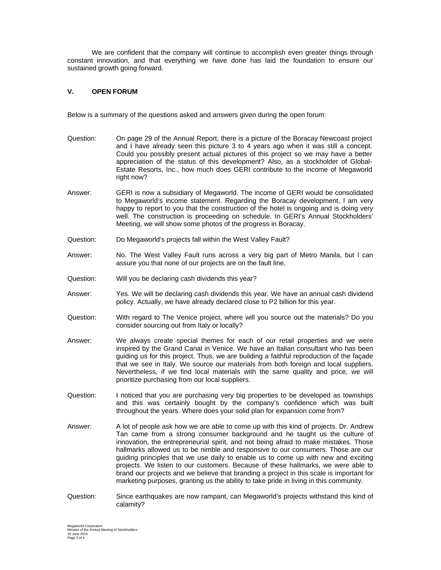We are confident that the company will continue to accomplish even greater things through constant innovation, and that everything we have done has laid the foundation to ensure our sustained growth going forward.

### **V. OPEN FORUM**

Below is a summary of the questions asked and answers given during the open forum:

- Question: On page 29 of the Annual Report, there is a picture of the Boracay Newcoast project and I have already seen this picture 3 to 4 years ago when it was still a concept. Could you possibly present actual pictures of this project so we may have a better appreciation of the status of this development? Also, as a stockholder of Global-Estate Resorts, Inc., how much does GERI contribute to the income of Megaworld right now?
- Answer: GERI is now a subsidiary of Megaworld. The income of GERI would be consolidated to Megaworld's income statement. Regarding the Boracay development, I am very happy to report to you that the construction of the hotel is ongoing and is doing very well. The construction is proceeding on schedule. In GERI's Annual Stockholders' Meeting, we will show some photos of the progress in Boracay.
- Question: Do Megaworld's projects fall within the West Valley Fault?
- Answer: No. The West Valley Fault runs across a very big part of Metro Manila, but I can assure you that none of our projects are on the fault line.
- Question: Will you be declaring cash dividends this year?
- Answer: Yes. We will be declaring cash dividends this year. We have an annual cash dividend policy. Actually, we have already declared close to P2 billion for this year.
- Question: With regard to The Venice project, where will you source out the materials? Do you consider sourcing out from Italy or locally?
- Answer: We always create special themes for each of our retail properties and we were inspired by the Grand Canal in Venice. We have an Italian consultant who has been guiding us for this project. Thus, we are building a faithful reproduction of the façade that we see in Italy. We source our materials from both foreign and local suppliers. Nevertheless, if we find local materials with the same quality and price, we will prioritize purchasing from our local suppliers.
- Question: I noticed that you are purchasing very big properties to be developed as townships and this was certainly bought by the company's confidence which was built throughout the years. Where does your solid plan for expansion come from?
- Answer: A lot of people ask how we are able to come up with this kind of projects. Dr. Andrew Tan came from a strong consumer background and he taught us the culture of innovation, the entrepreneurial spirit, and not being afraid to make mistakes. Those hallmarks allowed us to be nimble and responsive to our consumers. Those are our guiding principles that we use daily to enable us to come up with new and exciting projects. We listen to our customers. Because of these hallmarks, we were able to brand our projects and we believe that branding a project in this scale is important for marketing purposes, granting us the ability to take pride in living in this community.
- Question: Since earthquakes are now rampant, can Megaworld's projects withstand this kind of calamity?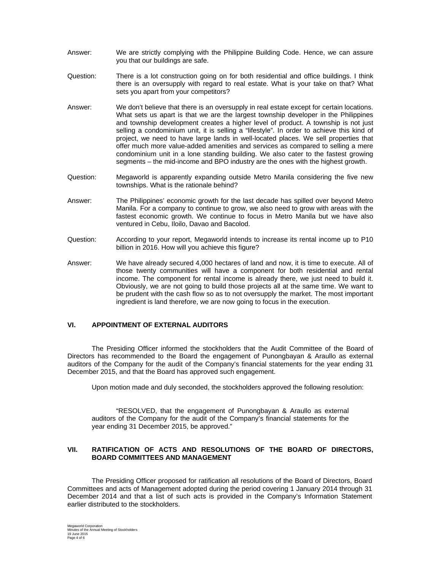- Answer: We are strictly complying with the Philippine Building Code. Hence, we can assure you that our buildings are safe.
- Question: There is a lot construction going on for both residential and office buildings. I think there is an oversupply with regard to real estate. What is your take on that? What sets you apart from your competitors?
- Answer: We don't believe that there is an oversupply in real estate except for certain locations. What sets us apart is that we are the largest township developer in the Philippines and township development creates a higher level of product. A township is not just selling a condominium unit, it is selling a "lifestyle". In order to achieve this kind of project, we need to have large lands in well-located places. We sell properties that offer much more value-added amenities and services as compared to selling a mere condominium unit in a lone standing building. We also cater to the fastest growing segments – the mid-income and BPO industry are the ones with the highest growth.
- Question: Megaworld is apparently expanding outside Metro Manila considering the five new townships. What is the rationale behind?
- Answer: The Philippines' economic growth for the last decade has spilled over beyond Metro Manila. For a company to continue to grow, we also need to grow with areas with the fastest economic growth. We continue to focus in Metro Manila but we have also ventured in Cebu, Iloilo, Davao and Bacolod.
- Question: According to your report, Megaworld intends to increase its rental income up to P10 billion in 2016. How will you achieve this figure?
- Answer: We have already secured 4,000 hectares of land and now, it is time to execute. All of those twenty communities will have a component for both residential and rental income. The component for rental income is already there, we just need to build it. Obviously, we are not going to build those projects all at the same time. We want to be prudent with the cash flow so as to not oversupply the market. The most important ingredient is land therefore, we are now going to focus in the execution.

#### **VI. APPOINTMENT OF EXTERNAL AUDITORS**

The Presiding Officer informed the stockholders that the Audit Committee of the Board of Directors has recommended to the Board the engagement of Punongbayan & Araullo as external auditors of the Company for the audit of the Company's financial statements for the year ending 31 December 2015, and that the Board has approved such engagement.

Upon motion made and duly seconded, the stockholders approved the following resolution:

"RESOLVED, that the engagement of Punongbayan & Araullo as external auditors of the Company for the audit of the Company's financial statements for the year ending 31 December 2015, be approved."

#### **VII. RATIFICATION OF ACTS AND RESOLUTIONS OF THE BOARD OF DIRECTORS, BOARD COMMITTEES AND MANAGEMENT**

The Presiding Officer proposed for ratification all resolutions of the Board of Directors, Board Committees and acts of Management adopted during the period covering 1 January 2014 through 31 December 2014 and that a list of such acts is provided in the Company's Information Statement earlier distributed to the stockholders.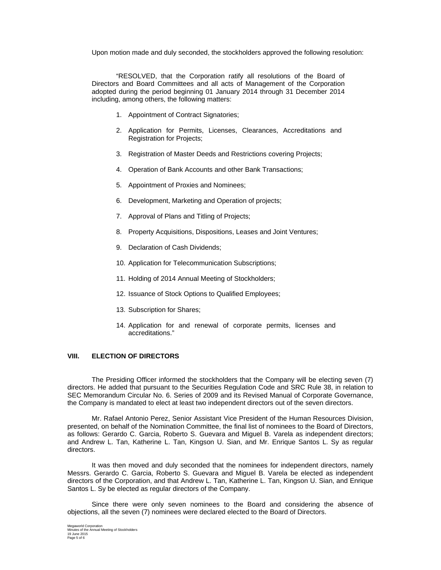Upon motion made and duly seconded, the stockholders approved the following resolution:

"RESOLVED, that the Corporation ratify all resolutions of the Board of Directors and Board Committees and all acts of Management of the Corporation adopted during the period beginning 01 January 2014 through 31 December 2014 including, among others, the following matters:

- 1. Appointment of Contract Signatories;
- 2. Application for Permits, Licenses, Clearances, Accreditations and Registration for Projects;
- 3. Registration of Master Deeds and Restrictions covering Projects;
- 4. Operation of Bank Accounts and other Bank Transactions;
- 5. Appointment of Proxies and Nominees;
- 6. Development, Marketing and Operation of projects;
- 7. Approval of Plans and Titling of Projects;
- 8. Property Acquisitions, Dispositions, Leases and Joint Ventures;
- 9. Declaration of Cash Dividends;
- 10. Application for Telecommunication Subscriptions;
- 11. Holding of 2014 Annual Meeting of Stockholders;
- 12. Issuance of Stock Options to Qualified Employees;
- 13. Subscription for Shares;
- 14. Application for and renewal of corporate permits, licenses and accreditations."

### **VIII. ELECTION OF DIRECTORS**

The Presiding Officer informed the stockholders that the Company will be electing seven (7) directors. He added that pursuant to the Securities Regulation Code and SRC Rule 38, in relation to SEC Memorandum Circular No. 6. Series of 2009 and its Revised Manual of Corporate Governance, the Company is mandated to elect at least two independent directors out of the seven directors.

Mr. Rafael Antonio Perez, Senior Assistant Vice President of the Human Resources Division, presented, on behalf of the Nomination Committee, the final list of nominees to the Board of Directors, as follows: Gerardo C. Garcia, Roberto S. Guevara and Miguel B. Varela as independent directors; and Andrew L. Tan, Katherine L. Tan, Kingson U. Sian, and Mr. Enrique Santos L. Sy as regular directors.

It was then moved and duly seconded that the nominees for independent directors, namely Messrs. Gerardo C. Garcia, Roberto S. Guevara and Miguel B. Varela be elected as independent directors of the Corporation, and that Andrew L. Tan, Katherine L. Tan, Kingson U. Sian, and Enrique Santos L. Sy be elected as regular directors of the Company.

Since there were only seven nominees to the Board and considering the absence of objections, all the seven (7) nominees were declared elected to the Board of Directors.